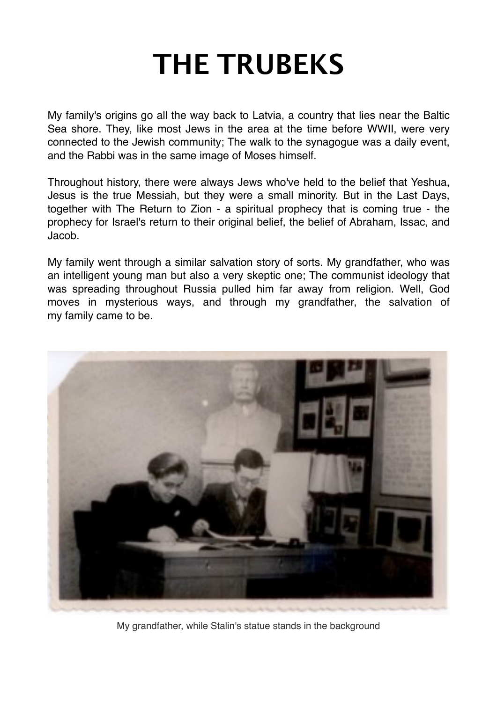# **THE TRUBEKS**

My family's origins go all the way back to Latvia, a country that lies near the Baltic Sea shore. They, like most Jews in the area at the time before WWII, were very connected to the Jewish community; The walk to the synagogue was a daily event, and the Rabbi was in the same image of Moses himself.

Throughout history, there were always Jews who've held to the belief that Yeshua, Jesus is the true Messiah, but they were a small minority. But in the Last Days, together with The Return to Zion - a spiritual prophecy that is coming true - the prophecy for Israel's return to their original belief, the belief of Abraham, Issac, and Jacob.

My family went through a similar salvation story of sorts. My grandfather, who was an intelligent young man but also a very skeptic one; The communist ideology that was spreading throughout Russia pulled him far away from religion. Well, God moves in mysterious ways, and through my grandfather, the salvation of my family came to be.



My grandfather, while Stalin's statue stands in the background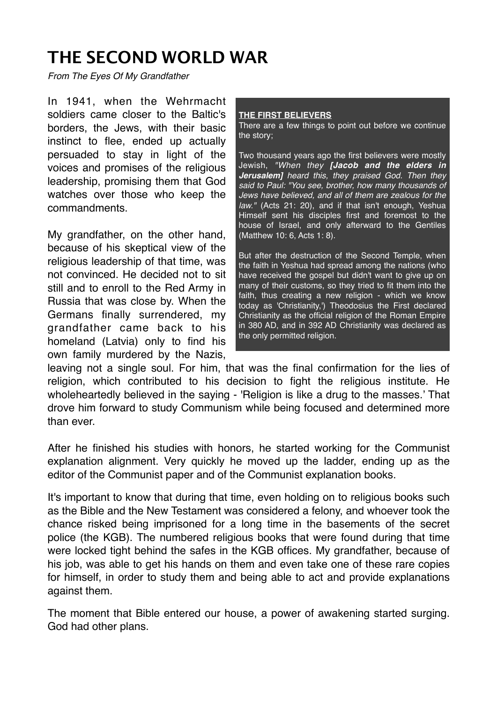#### **THE SECOND WORLD WAR**

*From The Eyes Of My Grandfather*

In 1941, when the Wehrmacht soldiers came closer to the Baltic's borders, the Jews, with their basic instinct to flee, ended up actually persuaded to stay in light of the voices and promises of the religious leadership, promising them that God watches over those who keep the commandments.

My grandfather, on the other hand, because of his skeptical view of the religious leadership of that time, was not convinced. He decided not to sit still and to enroll to the Red Army in Russia that was close by. When the Germans finally surrendered, my grandfather came back to his homeland (Latvia) only to find his own family murdered by the Nazis,

#### **THE FIRST BELIEVERS**

There are a few things to point out before we continue the story;

Two thousand years ago the first believers were mostly Jewish, *"When they [Jacob and the elders in Jerusalem] heard this, they praised God. Then they said to Paul: "You see, brother, how many thousands of Jews have believed, and all of them are zealous for the law."* (Acts 21: 20), and if that isn't enough, Yeshua Himself sent his disciples first and foremost to the house of Israel, and only afterward to the Gentiles (Matthew 10: 6, Acts 1: 8).

But after the destruction of the Second Temple, when the faith in Yeshua had spread among the nations (who have received the gospel but didn't want to give up on many of their customs, so they tried to fit them into the faith, thus creating a new religion - which we know today as 'Christianity,') Theodosius the First declared Christianity as the official religion of the Roman Empire in 380 AD, and in 392 AD Christianity was declared as the only permitted religion.

leaving not a single soul. For him, that was the final confirmation for the lies of religion, which contributed to his decision to fight the religious institute. He wholeheartedly believed in the saying - 'Religion is like a drug to the masses.' That drove him forward to study Communism while being focused and determined more than ever.

After he finished his studies with honors, he started working for the Communist explanation alignment. Very quickly he moved up the ladder, ending up as the editor of the Communist paper and of the Communist explanation books.

It's important to know that during that time, even holding on to religious books such as the Bible and the New Testament was considered a felony, and whoever took the chance risked being imprisoned for a long time in the basements of the secret police (the KGB). The numbered religious books that were found during that time were locked tight behind the safes in the KGB offices. My grandfather, because of his job, was able to get his hands on them and even take one of these rare copies for himself, in order to study them and being able to act and provide explanations against them.

The moment that Bible entered our house, a power of awakening started surging. God had other plans.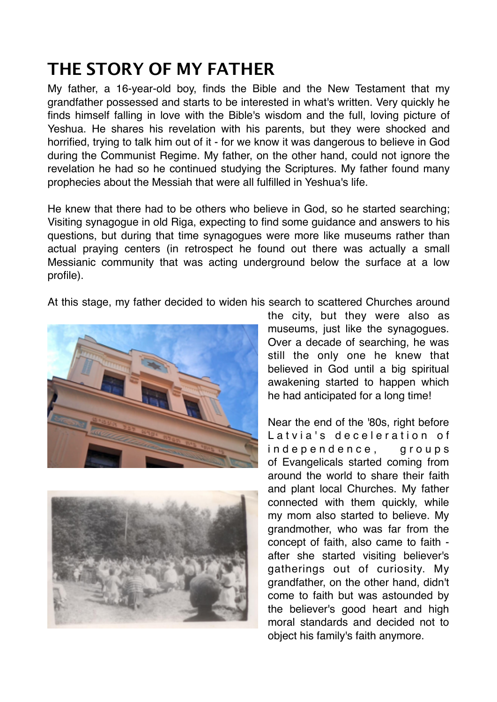### **THE STORY OF MY FATHER**

My father, a 16-year-old boy, finds the Bible and the New Testament that my grandfather possessed and starts to be interested in what's written. Very quickly he finds himself falling in love with the Bible's wisdom and the full, loving picture of Yeshua. He shares his revelation with his parents, but they were shocked and horrified, trying to talk him out of it - for we know it was dangerous to believe in God during the Communist Regime. My father, on the other hand, could not ignore the revelation he had so he continued studying the Scriptures. My father found many prophecies about the Messiah that were all fulfilled in Yeshua's life.

He knew that there had to be others who believe in God, so he started searching; Visiting synagogue in old Riga, expecting to find some guidance and answers to his questions, but during that time synagogues were more like museums rather than actual praying centers (in retrospect he found out there was actually a small Messianic community that was acting underground below the surface at a low profile).

At this stage, my father decided to widen his search to scattered Churches around





the city, but they were also as museums, just like the synagogues. Over a decade of searching, he was still the only one he knew that believed in God until a big spiritual awakening started to happen which he had anticipated for a long time!

Near the end of the '80s, right before Latvia's deceleration of independence, groups of Evangelicals started coming from around the world to share their faith and plant local Churches. My father connected with them quickly, while my mom also started to believe. My grandmother, who was far from the concept of faith, also came to faith after she started visiting believer's gatherings out of curiosity. My grandfather, on the other hand, didn't come to faith but was astounded by the believer's good heart and high moral standards and decided not to object his family's faith anymore.